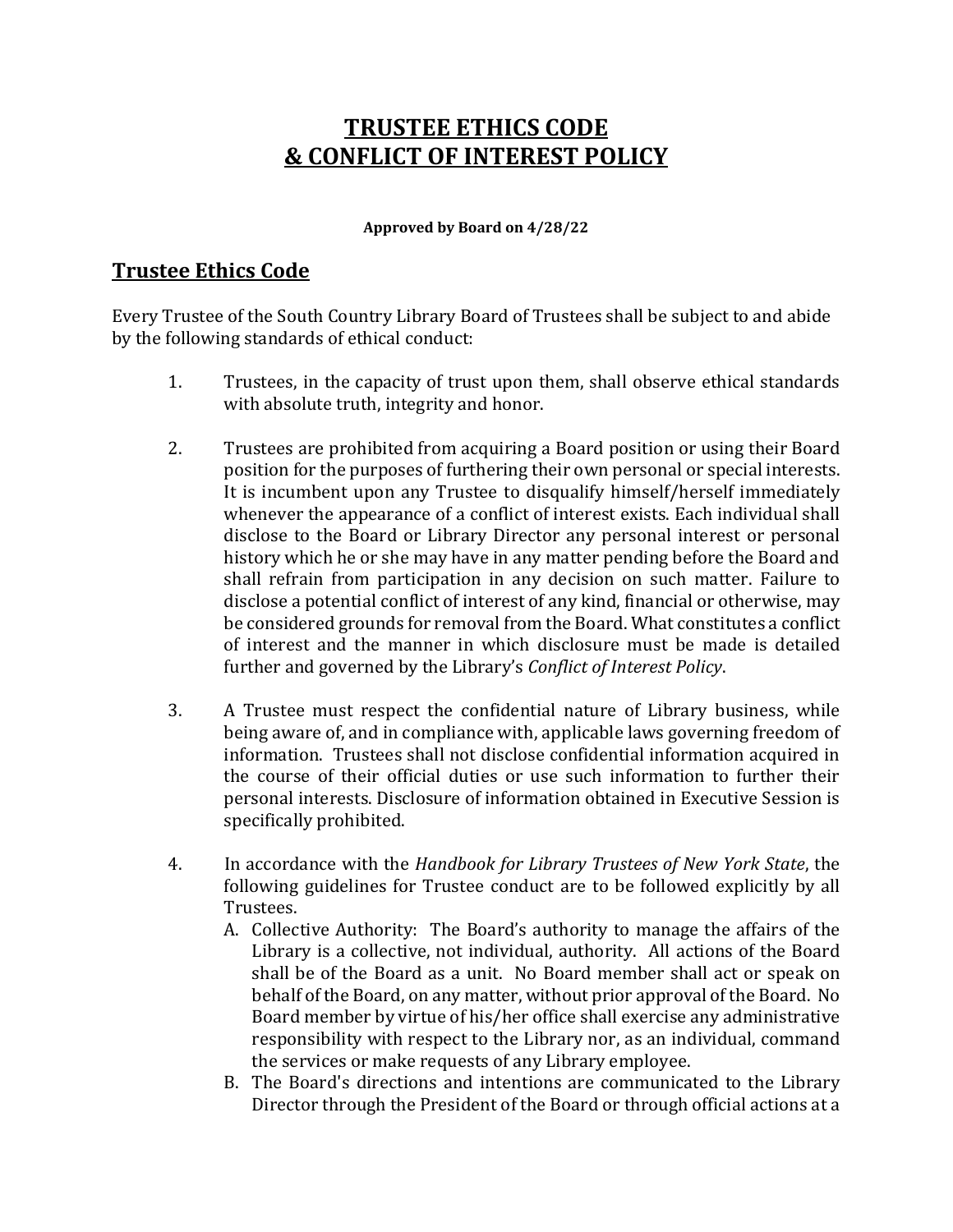# **TRUSTEE ETHICS CODE & CONFLICT OF INTEREST POLICY**

#### **Approved by Board on 4/28/22**

# **Trustee Ethics Code**

Every Trustee of the South Country Library Board of Trustees shall be subject to and abide by the following standards of ethical conduct:

- 1. Trustees, in the capacity of trust upon them, shall observe ethical standards with absolute truth, integrity and honor.
- 2. Trustees are prohibited from acquiring a Board position or using their Board position for the purposes of furthering their own personal or special interests. It is incumbent upon any Trustee to disqualify himself/herself immediately whenever the appearance of a conflict of interest exists. Each individual shall disclose to the Board or Library Director any personal interest or personal history which he or she may have in any matter pending before the Board and shall refrain from participation in any decision on such matter. Failure to disclose a potential conflict of interest of any kind, financial or otherwise, may be considered grounds for removal from the Board. What constitutes a conflict of interest and the manner in which disclosure must be made is detailed further and governed by the Library's *Conflict of Interest Policy*.
- 3. A Trustee must respect the confidential nature of Library business, while being aware of, and in compliance with, applicable laws governing freedom of information. Trustees shall not disclose confidential information acquired in the course of their official duties or use such information to further their personal interests. Disclosure of information obtained in Executive Session is specifically prohibited.
- 4. In accordance with the *Handbook for Library Trustees of New York State*, the following guidelines for Trustee conduct are to be followed explicitly by all Trustees.
	- A. Collective Authority: The Board's authority to manage the affairs of the Library is a collective, not individual, authority. All actions of the Board shall be of the Board as a unit. No Board member shall act or speak on behalf of the Board, on any matter, without prior approval of the Board. No Board member by virtue of his/her office shall exercise any administrative responsibility with respect to the Library nor, as an individual, command the services or make requests of any Library employee.
	- B. The Board's directions and intentions are communicated to the Library Director through the President of the Board or through official actions at a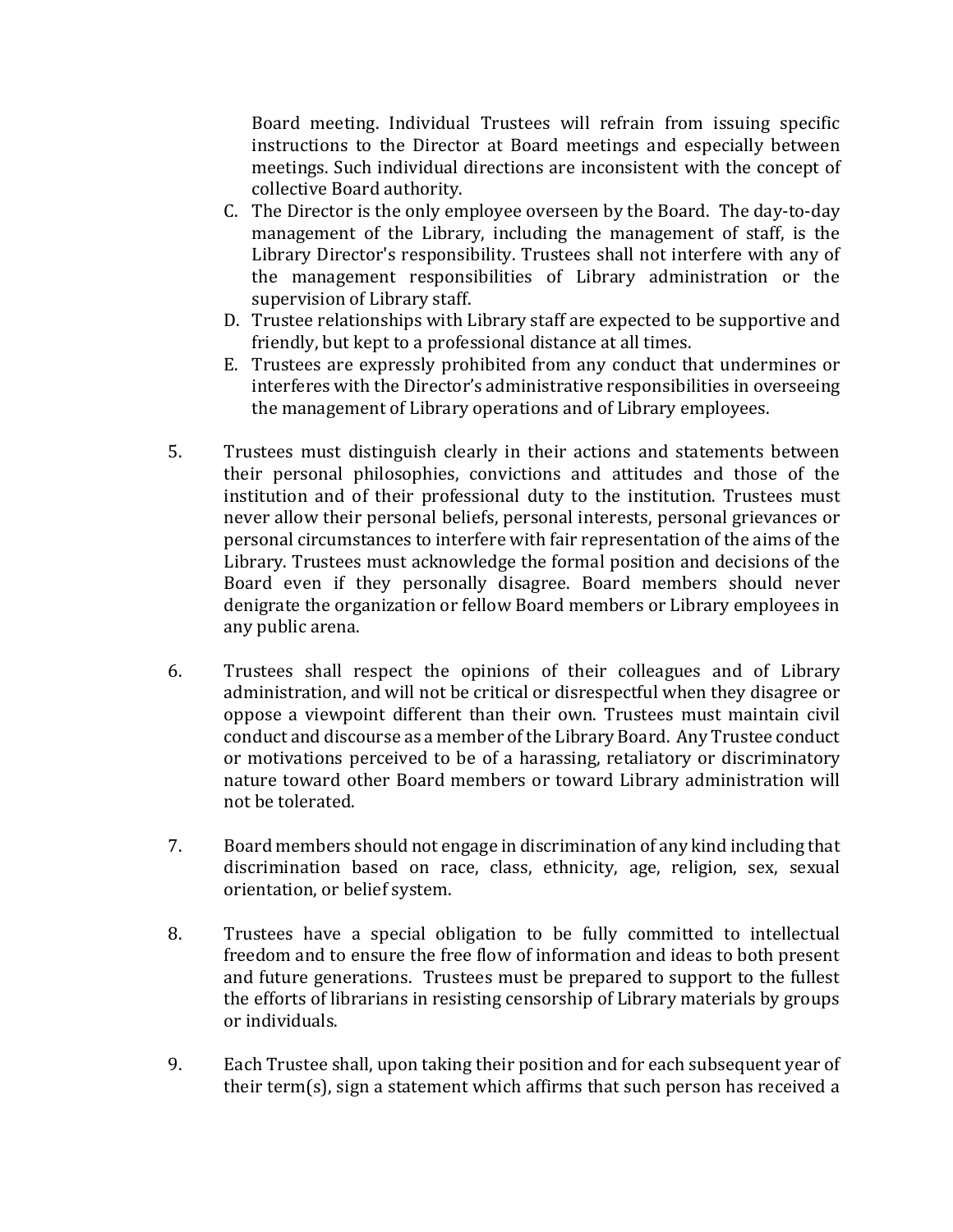Board meeting. Individual Trustees will refrain from issuing specific instructions to the Director at Board meetings and especially between meetings. Such individual directions are inconsistent with the concept of collective Board authority.

- C. The Director is the only employee overseen by the Board. The day-to-day management of the Library, including the management of staff, is the Library Director's responsibility. Trustees shall not interfere with any of the management responsibilities of Library administration or the supervision of Library staff.
- D. Trustee relationships with Library staff are expected to be supportive and friendly, but kept to a professional distance at all times.
- E. Trustees are expressly prohibited from any conduct that undermines or interferes with the Director's administrative responsibilities in overseeing the management of Library operations and of Library employees.
- 5. Trustees must distinguish clearly in their actions and statements between their personal philosophies, convictions and attitudes and those of the institution and of their professional duty to the institution. Trustees must never allow their personal beliefs, personal interests, personal grievances or personal circumstances to interfere with fair representation of the aims of the Library. Trustees must acknowledge the formal position and decisions of the Board even if they personally disagree. Board members should never denigrate the organization or fellow Board members or Library employees in any public arena.
- 6. Trustees shall respect the opinions of their colleagues and of Library administration, and will not be critical or disrespectful when they disagree or oppose a viewpoint different than their own. Trustees must maintain civil conduct and discourse as a member of the Library Board. Any Trustee conduct or motivations perceived to be of a harassing, retaliatory or discriminatory nature toward other Board members or toward Library administration will not be tolerated.
- 7. Board members should not engage in discrimination of any kind including that discrimination based on race, class, ethnicity, age, religion, sex, sexual orientation, or belief system.
- 8. Trustees have a special obligation to be fully committed to intellectual freedom and to ensure the free flow of information and ideas to both present and future generations. Trustees must be prepared to support to the fullest the efforts of librarians in resisting censorship of Library materials by groups or individuals.
- 9. Each Trustee shall, upon taking their position and for each subsequent year of their term(s), sign a statement which affirms that such person has received a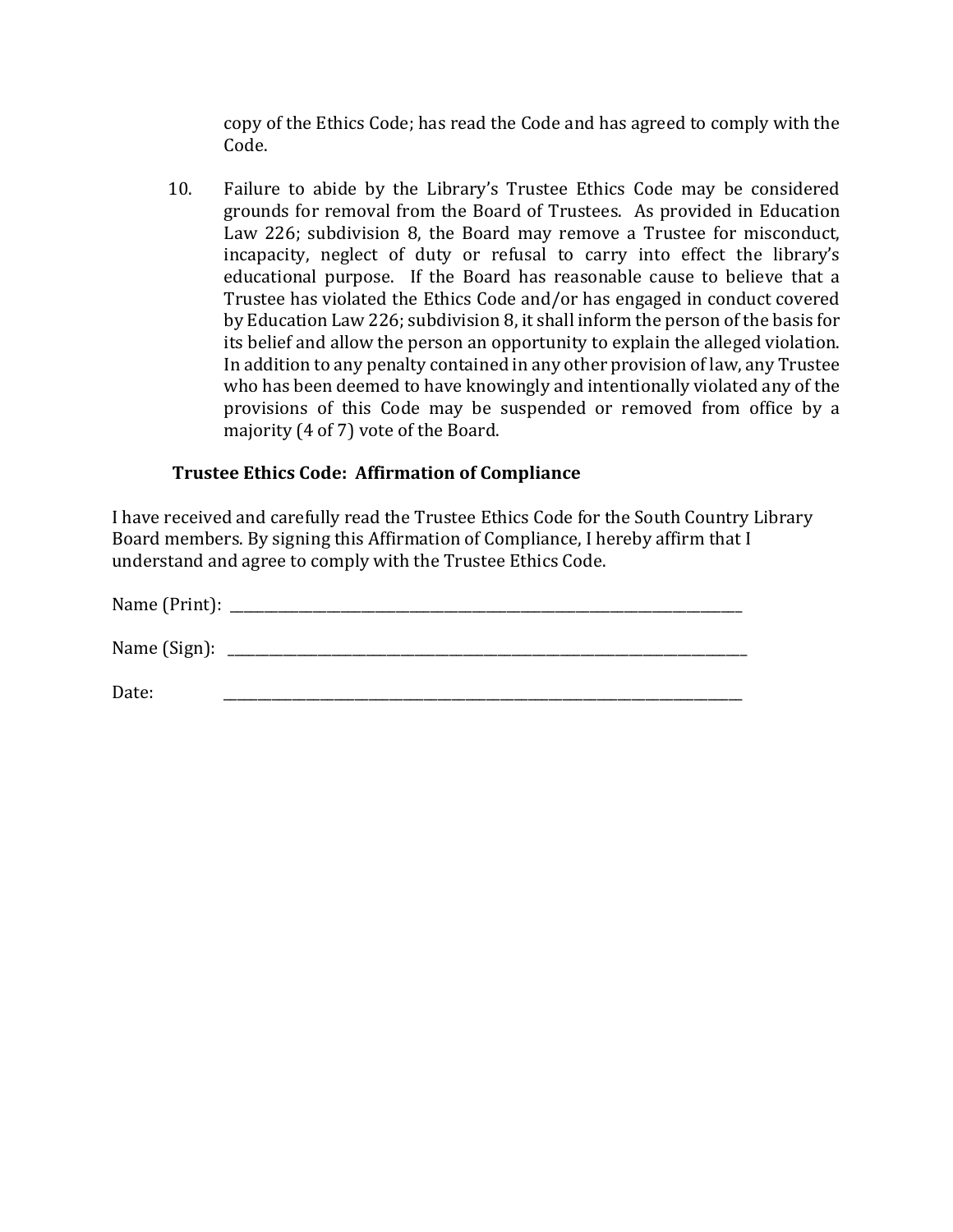copy of the Ethics Code; has read the Code and has agreed to comply with the Code.

10. Failure to abide by the Library's Trustee Ethics Code may be considered grounds for removal from the Board of Trustees. As provided in Education Law 226; subdivision 8, the Board may remove a Trustee for misconduct, incapacity, neglect of duty or refusal to carry into effect the library's educational purpose. If the Board has reasonable cause to believe that a Trustee has violated the Ethics Code and/or has engaged in conduct covered by Education Law 226; subdivision 8, it shall inform the person of the basis for its belief and allow the person an opportunity to explain the alleged violation. In addition to any penalty contained in any other provision of law, any Trustee who has been deemed to have knowingly and intentionally violated any of the provisions of this Code may be suspended or removed from office by a majority (4 of 7) vote of the Board.

#### **Trustee Ethics Code: Affirmation of Compliance**

I have received and carefully read the Trustee Ethics Code for the South Country Library Board members. By signing this Affirmation of Compliance, I hereby affirm that I understand and agree to comply with the Trustee Ethics Code.

| Name ( $Print$ ): $\_\_$ |  |  |  |
|--------------------------|--|--|--|
| Name (Sign):             |  |  |  |
| Date:                    |  |  |  |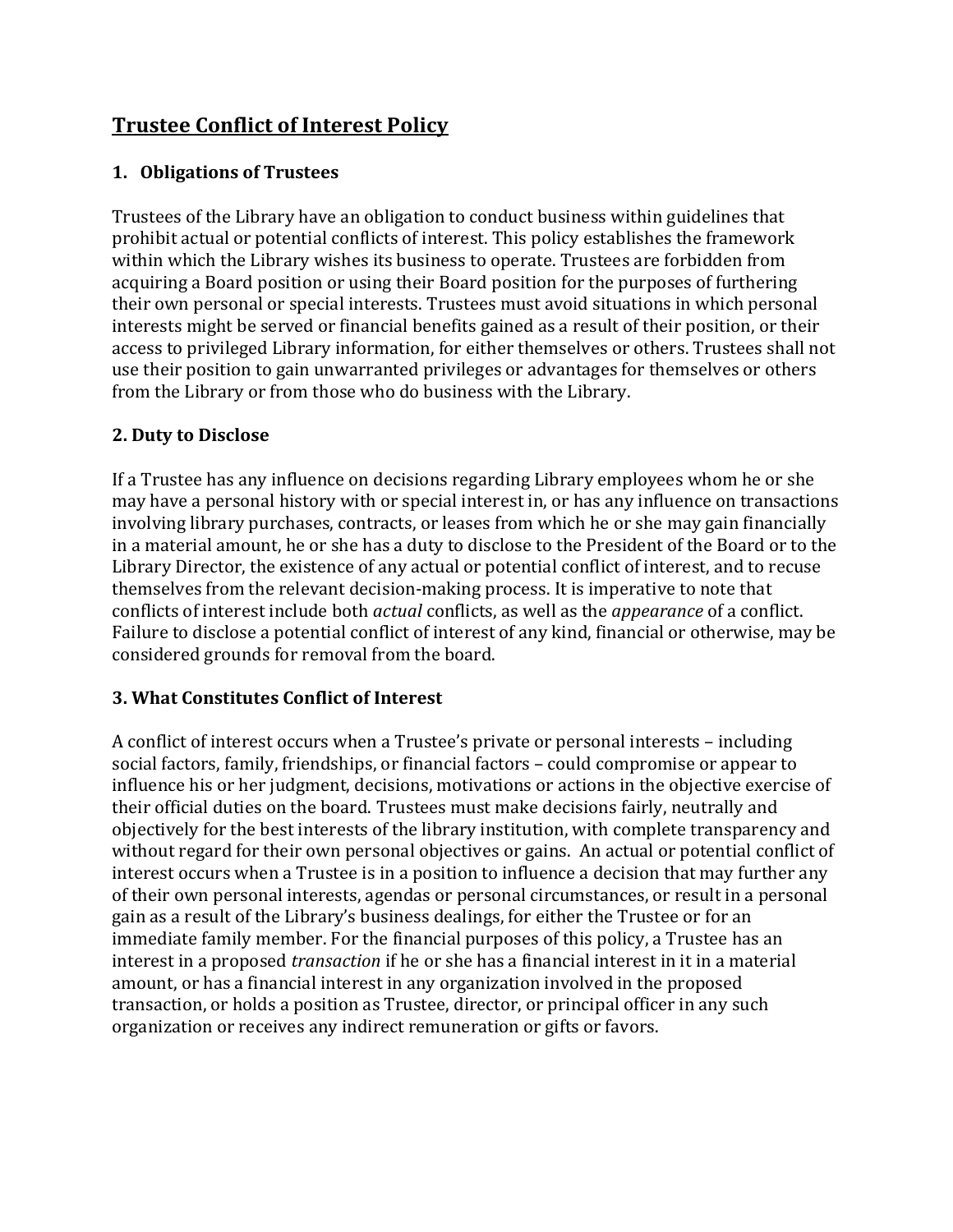# **Trustee Conflict of Interest Policy**

## **1. Obligations of Trustees**

Trustees of the Library have an obligation to conduct business within guidelines that prohibit actual or potential conflicts of interest. This policy establishes the framework within which the Library wishes its business to operate. Trustees are forbidden from acquiring a Board position or using their Board position for the purposes of furthering their own personal or special interests. Trustees must avoid situations in which personal interests might be served or financial benefits gained as a result of their position, or their access to privileged Library information, for either themselves or others. Trustees shall not use their position to gain unwarranted privileges or advantages for themselves or others from the Library or from those who do business with the Library.

#### **2. Duty to Disclose**

If a Trustee has any influence on decisions regarding Library employees whom he or she may have a personal history with or special interest in, or has any influence on transactions involving library purchases, contracts, or leases from which he or she may gain financially in a material amount, he or she has a duty to disclose to the President of the Board or to the Library Director, the existence of any actual or potential conflict of interest, and to recuse themselves from the relevant decision-making process. It is imperative to note that conflicts of interest include both *actual* conflicts, as well as the *appearance* of a conflict. Failure to disclose a potential conflict of interest of any kind, financial or otherwise, may be considered grounds for removal from the board.

#### **3. What Constitutes Conflict of Interest**

A conflict of interest occurs when a Trustee's private or personal interests – including social factors, family, friendships, or financial factors – could compromise or appear to influence his or her judgment, decisions, motivations or actions in the objective exercise of their official duties on the board. Trustees must make decisions fairly, neutrally and objectively for the best interests of the library institution, with complete transparency and without regard for their own personal objectives or gains. An actual or potential conflict of interest occurs when a Trustee is in a position to influence a decision that may further any of their own personal interests, agendas or personal circumstances, or result in a personal gain as a result of the Library's business dealings, for either the Trustee or for an immediate family member. For the financial purposes of this policy, a Trustee has an interest in a proposed *transaction* if he or she has a financial interest in it in a material amount, or has a financial interest in any organization involved in the proposed transaction, or holds a position as Trustee, director, or principal officer in any such organization or receives any indirect remuneration or gifts or favors.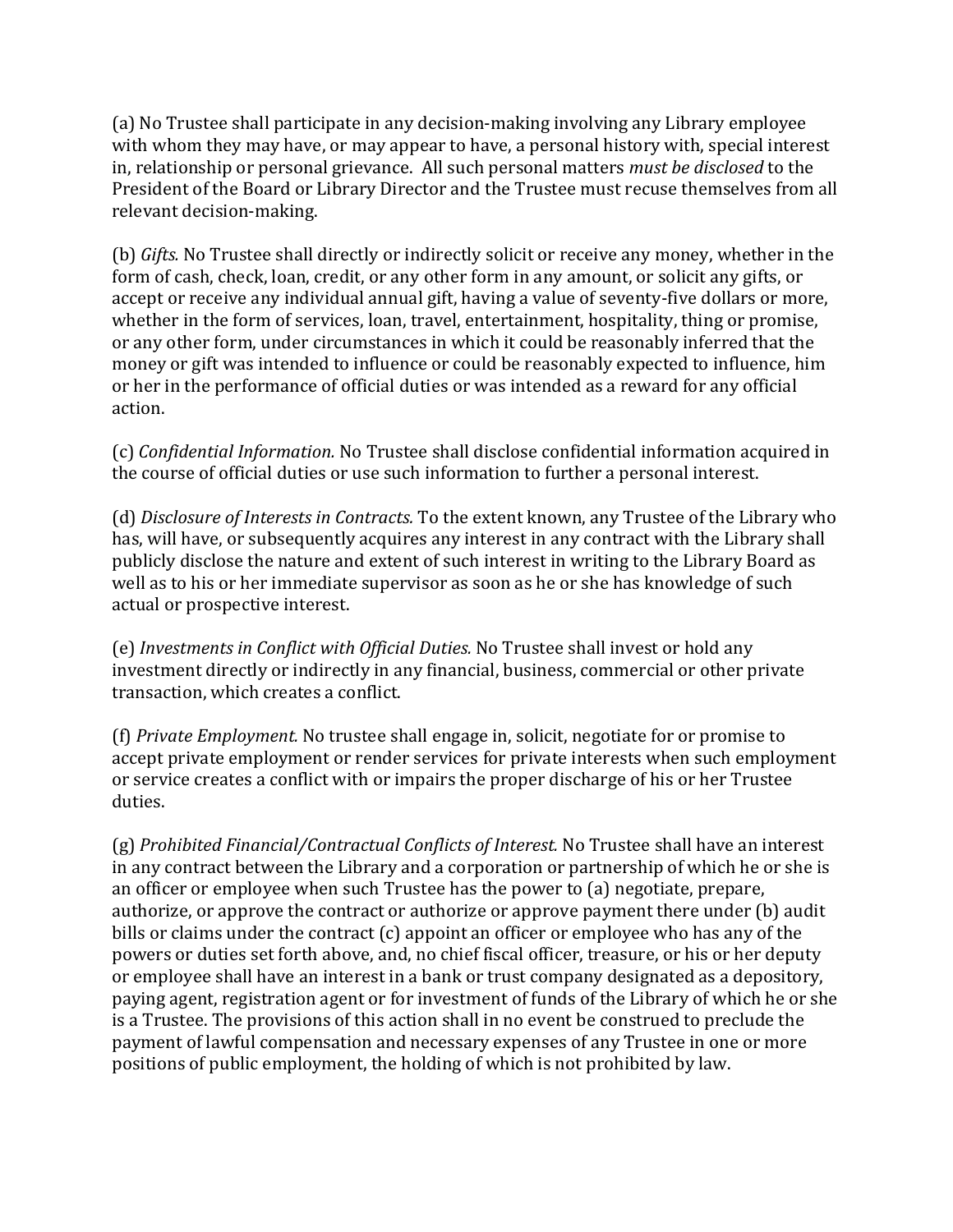(a) No Trustee shall participate in any decision-making involving any Library employee with whom they may have, or may appear to have, a personal history with, special interest in, relationship or personal grievance. All such personal matters *must be disclosed* to the President of the Board or Library Director and the Trustee must recuse themselves from all relevant decision-making.

(b) *Gifts.* No Trustee shall directly or indirectly solicit or receive any money, whether in the form of cash, check, loan, credit, or any other form in any amount, or solicit any gifts, or accept or receive any individual annual gift, having a value of seventy-five dollars or more, whether in the form of services, loan, travel, entertainment, hospitality, thing or promise, or any other form, under circumstances in which it could be reasonably inferred that the money or gift was intended to influence or could be reasonably expected to influence, him or her in the performance of official duties or was intended as a reward for any official action.

(c) *Confidential Information.* No Trustee shall disclose confidential information acquired in the course of official duties or use such information to further a personal interest.

(d) *Disclosure of Interests in Contracts.* To the extent known, any Trustee of the Library who has, will have, or subsequently acquires any interest in any contract with the Library shall publicly disclose the nature and extent of such interest in writing to the Library Board as well as to his or her immediate supervisor as soon as he or she has knowledge of such actual or prospective interest.

(e) *Investments in Conflict with Official Duties.* No Trustee shall invest or hold any investment directly or indirectly in any financial, business, commercial or other private transaction, which creates a conflict.

(f) *Private Employment.* No trustee shall engage in, solicit, negotiate for or promise to accept private employment or render services for private interests when such employment or service creates a conflict with or impairs the proper discharge of his or her Trustee duties.

(g) *Prohibited Financial/Contractual Conflicts of Interest.* No Trustee shall have an interest in any contract between the Library and a corporation or partnership of which he or she is an officer or employee when such Trustee has the power to (a) negotiate, prepare, authorize, or approve the contract or authorize or approve payment there under (b) audit bills or claims under the contract (c) appoint an officer or employee who has any of the powers or duties set forth above, and, no chief fiscal officer, treasure, or his or her deputy or employee shall have an interest in a bank or trust company designated as a depository, paying agent, registration agent or for investment of funds of the Library of which he or she is a Trustee. The provisions of this action shall in no event be construed to preclude the payment of lawful compensation and necessary expenses of any Trustee in one or more positions of public employment, the holding of which is not prohibited by law.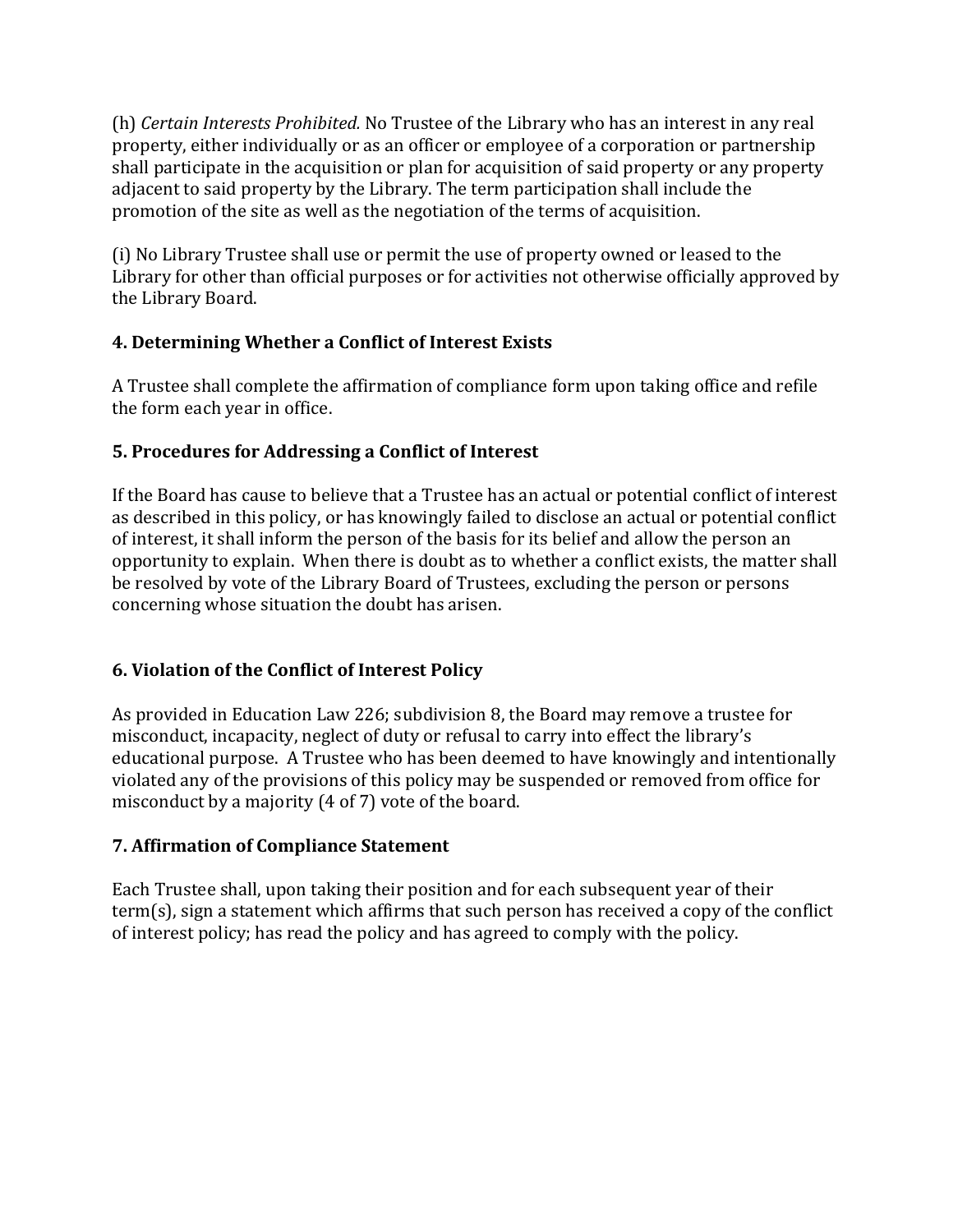(h) *Certain Interests Prohibited.* No Trustee of the Library who has an interest in any real property, either individually or as an officer or employee of a corporation or partnership shall participate in the acquisition or plan for acquisition of said property or any property adjacent to said property by the Library. The term participation shall include the promotion of the site as well as the negotiation of the terms of acquisition.

(i) No Library Trustee shall use or permit the use of property owned or leased to the Library for other than official purposes or for activities not otherwise officially approved by the Library Board.

## **4. Determining Whether a Conflict of Interest Exists**

A Trustee shall complete the affirmation of compliance form upon taking office and refile the form each year in office.

## **5. Procedures for Addressing a Conflict of Interest**

If the Board has cause to believe that a Trustee has an actual or potential conflict of interest as described in this policy, or has knowingly failed to disclose an actual or potential conflict of interest, it shall inform the person of the basis for its belief and allow the person an opportunity to explain. When there is doubt as to whether a conflict exists, the matter shall be resolved by vote of the Library Board of Trustees, excluding the person or persons concerning whose situation the doubt has arisen.

## **6. Violation of the Conflict of Interest Policy**

As provided in Education Law 226; subdivision 8, the Board may remove a trustee for misconduct, incapacity, neglect of duty or refusal to carry into effect the library's educational purpose. A Trustee who has been deemed to have knowingly and intentionally violated any of the provisions of this policy may be suspended or removed from office for misconduct by a majority (4 of 7) vote of the board.

## **7. Affirmation of Compliance Statement**

Each Trustee shall, upon taking their position and for each subsequent year of their term(s), sign a statement which affirms that such person has received a copy of the conflict of interest policy; has read the policy and has agreed to comply with the policy.